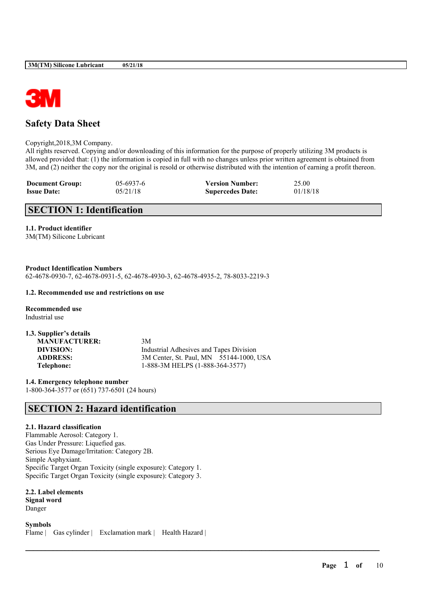

# **Safety Data Sheet**

#### Copyright,2018,3M Company.

All rights reserved. Copying and/or downloading of this information for the purpose of properly utilizing 3M products is allowed provided that: (1) the information is copied in full with no changes unless prior written agreement is obtained from 3M, and (2) neither the copy nor the original is resold or otherwise distributed with the intention of earning a profit thereon.

 $\mathcal{L}_\mathcal{L} = \mathcal{L}_\mathcal{L} = \mathcal{L}_\mathcal{L} = \mathcal{L}_\mathcal{L} = \mathcal{L}_\mathcal{L} = \mathcal{L}_\mathcal{L} = \mathcal{L}_\mathcal{L} = \mathcal{L}_\mathcal{L} = \mathcal{L}_\mathcal{L} = \mathcal{L}_\mathcal{L} = \mathcal{L}_\mathcal{L} = \mathcal{L}_\mathcal{L} = \mathcal{L}_\mathcal{L} = \mathcal{L}_\mathcal{L} = \mathcal{L}_\mathcal{L} = \mathcal{L}_\mathcal{L} = \mathcal{L}_\mathcal{L}$ 

| <b>Document Group:</b> | $05-6937-6$ | <b>Version Number:</b>  | 25.00    |
|------------------------|-------------|-------------------------|----------|
| <b>Issue Date:</b>     | 05/21/18    | <b>Supercedes Date:</b> | 01/18/18 |

# **SECTION 1: Identification**

# **1.1. Product identifier**

3M(TM) Silicone Lubricant

## **Product Identification Numbers**

62-4678-0930-7, 62-4678-0931-5, 62-4678-4930-3, 62-4678-4935-2, 78-8033-2219-3

#### **1.2. Recommended use and restrictions on use**

**Recommended use** Industrial use

| 1.3. Supplier's details |                                         |
|-------------------------|-----------------------------------------|
| <b>MANUFACTURER:</b>    | 3M                                      |
| DIVISION:               | Industrial Adhesives and Tapes Division |
| <b>ADDRESS:</b>         | 3M Center, St. Paul, MN 55144-1000, USA |
| Telephone:              | 1-888-3M HELPS (1-888-364-3577)         |

**1.4. Emergency telephone number** 1-800-364-3577 or (651) 737-6501 (24 hours)

# **SECTION 2: Hazard identification**

# **2.1. Hazard classification**

Flammable Aerosol: Category 1. Gas Under Pressure: Liquefied gas. Serious Eye Damage/Irritation: Category 2B. Simple Asphyxiant. Specific Target Organ Toxicity (single exposure): Category 1. Specific Target Organ Toxicity (single exposure): Category 3.

**2.2. Label elements Signal word** Danger

**Symbols** Flame | Gas cylinder | Exclamation mark | Health Hazard |

**Page** 1 **of** 10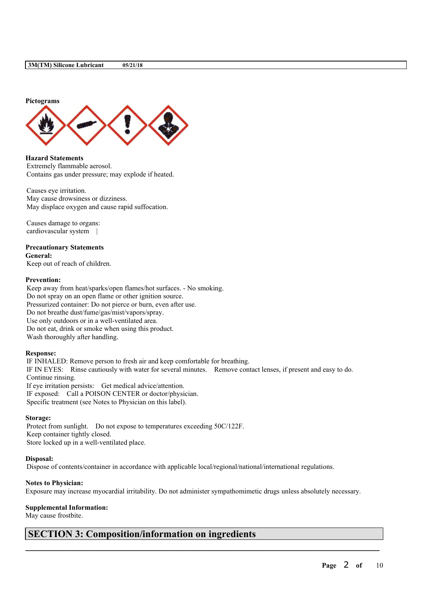

**Hazard Statements** Extremely flammable aerosol. Contains gas under pressure; may explode if heated.

Causes eye irritation. May cause drowsiness or dizziness. May displace oxygen and cause rapid suffocation.

Causes damage to organs: cardiovascular system |

# **Precautionary Statements**

**General:** Keep out of reach of children.

# **Prevention:**

Keep away from heat/sparks/open flames/hot surfaces. - No smoking. Do not spray on an open flame or other ignition source. Pressurized container: Do not pierce or burn, even after use. Do not breathe dust/fume/gas/mist/vapors/spray. Use only outdoors or in a well-ventilated area. Do not eat, drink or smoke when using this product. Wash thoroughly after handling.

## **Response:**

IF INHALED: Remove person to fresh air and keep comfortable for breathing. IF IN EYES: Rinse cautiously with water for several minutes. Remove contact lenses, if present and easy to do. Continue rinsing. If eye irritation persists: Get medical advice/attention. IF exposed: Call a POISON CENTER or doctor/physician.

Specific treatment (see Notes to Physician on this label).

#### **Storage:**

Protect from sunlight. Do not expose to temperatures exceeding 50C/122F. Keep container tightly closed. Store locked up in a well-ventilated place.

## **Disposal:**

Dispose of contents/container in accordance with applicable local/regional/national/international regulations.

## **Notes to Physician:**

Exposure may increase myocardial irritability. Do not administer sympathomimetic drugs unless absolutely necessary.

 $\mathcal{L}_\mathcal{L} = \mathcal{L}_\mathcal{L} = \mathcal{L}_\mathcal{L} = \mathcal{L}_\mathcal{L} = \mathcal{L}_\mathcal{L} = \mathcal{L}_\mathcal{L} = \mathcal{L}_\mathcal{L} = \mathcal{L}_\mathcal{L} = \mathcal{L}_\mathcal{L} = \mathcal{L}_\mathcal{L} = \mathcal{L}_\mathcal{L} = \mathcal{L}_\mathcal{L} = \mathcal{L}_\mathcal{L} = \mathcal{L}_\mathcal{L} = \mathcal{L}_\mathcal{L} = \mathcal{L}_\mathcal{L} = \mathcal{L}_\mathcal{L}$ 

## **Supplemental Information:**

May cause frostbite.

# **SECTION 3: Composition/information on ingredients**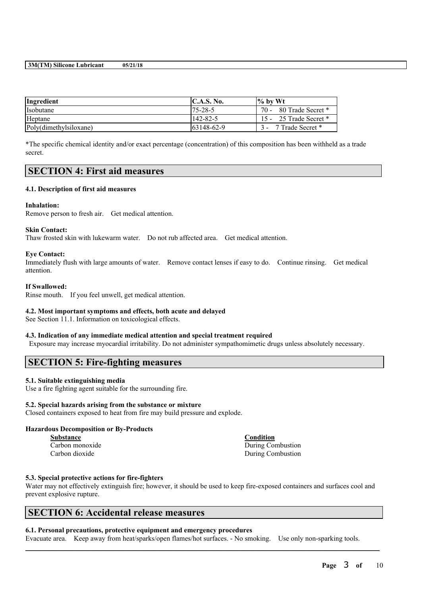| Ingredient             | $\mathbf{C}.\mathbf{A}.\mathbf{S}.\mathbf{No}.$ | $\frac{1}{6}$ by Wt    |
|------------------------|-------------------------------------------------|------------------------|
| Isobutane              | $75 - 28 - 5$                                   | 70 - 80 Trade Secret * |
| Heptane                | 142-82-5                                        | 15 - 25 Trade Secret * |
| Poly(dimethylsiloxane) | 63148-62-9                                      | 7 Trade Secret *       |

\*The specific chemical identity and/or exact percentage (concentration) of this composition has been withheld as a trade secret.

# **SECTION 4: First aid measures**

#### **4.1. Description of first aid measures**

#### **Inhalation:**

Remove person to fresh air. Get medical attention.

#### **Skin Contact:**

Thaw frosted skin with lukewarm water. Do not rub affected area. Get medical attention.

#### **Eye Contact:**

Immediately flush with large amounts of water. Remove contact lenses if easy to do. Continue rinsing. Get medical attention.

#### **If Swallowed:**

Rinse mouth. If you feel unwell, get medical attention.

## **4.2. Most important symptoms and effects, both acute and delayed**

See Section 11.1. Information on toxicological effects.

# **4.3. Indication of any immediate medical attention and special treatment required**

Exposure may increase myocardial irritability. Do not administer sympathomimetic drugs unless absolutely necessary.

# **SECTION 5: Fire-fighting measures**

## **5.1. Suitable extinguishing media**

Use a fire fighting agent suitable for the surrounding fire.

#### **5.2. Special hazards arising from the substance or mixture**

Closed containers exposed to heat from fire may build pressure and explode.

# **Hazardous Decomposition or By-Products**

| Substance       |  |  |  |
|-----------------|--|--|--|
| Carbon monoxide |  |  |  |
| Carbon dioxide  |  |  |  |

**Substance Condition** During Combustion During Combustion

## **5.3. Special protective actions for fire-fighters**

Water may not effectively extinguish fire; however, it should be used to keep fire-exposed containers and surfaces cool and prevent explosive rupture.

# **SECTION 6: Accidental release measures**

## **6.1. Personal precautions, protective equipment and emergency procedures**

Evacuate area. Keep away from heat/sparks/open flames/hot surfaces. - No smoking. Use only non-sparking tools.

 $\mathcal{L}_\mathcal{L} = \mathcal{L}_\mathcal{L} = \mathcal{L}_\mathcal{L} = \mathcal{L}_\mathcal{L} = \mathcal{L}_\mathcal{L} = \mathcal{L}_\mathcal{L} = \mathcal{L}_\mathcal{L} = \mathcal{L}_\mathcal{L} = \mathcal{L}_\mathcal{L} = \mathcal{L}_\mathcal{L} = \mathcal{L}_\mathcal{L} = \mathcal{L}_\mathcal{L} = \mathcal{L}_\mathcal{L} = \mathcal{L}_\mathcal{L} = \mathcal{L}_\mathcal{L} = \mathcal{L}_\mathcal{L} = \mathcal{L}_\mathcal{L}$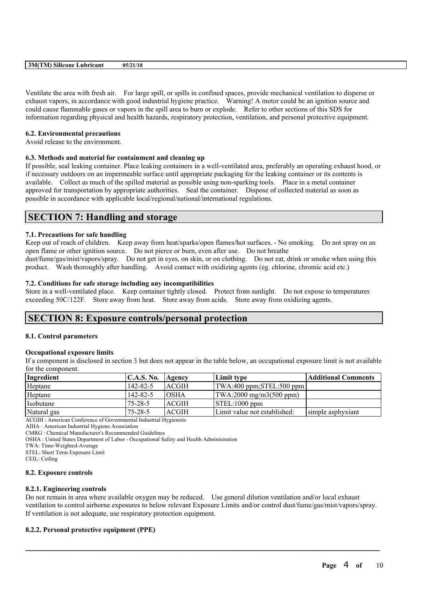Ventilate the area with fresh air. For large spill, or spills in confined spaces, provide mechanical ventilation to disperse or exhaust vapors, in accordance with good industrial hygiene practice. Warning! A motor could be an ignition source and could cause flammable gases or vapors in the spill area to burn or explode. Refer to other sections of this SDS for information regarding physical and health hazards, respiratory protection, ventilation, and personal protective equipment.

## **6.2. Environmental precautions**

Avoid release to the environment.

# **6.3. Methods and material for containment and cleaning up**

If possible, seal leaking container. Place leaking containers in a well-ventilated area, preferably an operating exhaust hood, or if necessary outdoors on an impermeable surface until appropriate packaging for the leaking container or its contents is available. Collect as much of the spilled material as possible using non-sparking tools. Place in a metal container approved for transportation by appropriate authorities. Seal the container. Dispose of collected material as soon as possible in accordance with applicable local/regional/national/international regulations.

# **SECTION 7: Handling and storage**

# **7.1. Precautions for safe handling**

Keep out of reach of children. Keep away from heat/sparks/open flames/hot surfaces. - No smoking. Do not spray on an open flame or other ignition source. Do not pierce or burn, even after use. Do not breathe dust/fume/gas/mist/vapors/spray. Do not get in eyes, on skin, or on clothing. Do not eat, drink or smoke when using this product. Wash thoroughly after handling. Avoid contact with oxidizing agents (eg. chlorine, chromic acid etc.)

# **7.2. Conditions for safe storage including any incompatibilities**

Store in a well-ventilated place. Keep container tightly closed. Protect from sunlight. Do not expose to temperatures exceeding 50C/122F. Store away from heat. Store away from acids. Store away from oxidizing agents.

# **SECTION 8: Exposure controls/personal protection**

## **8.1. Control parameters**

## **Occupational exposure limits**

If a component is disclosed in section 3 but does not appear in the table below, an occupational exposure limit is not available for the component.

| Ingredient  | C.A.S. No.     | Agency       | Limit type                                         | Additional Comments |
|-------------|----------------|--------------|----------------------------------------------------|---------------------|
| Heptane     | $142 - 82 - 5$ | ACGIH        | $ TWA:400$ ppm; STEL:500 ppm                       |                     |
| Heptane     | $142 - 82 - 5$ | <b>OSHA</b>  | $\text{TWA:} 2000 \text{ mg/m} 3(500 \text{ ppm})$ |                     |
| Isobutane   | $75 - 28 - 5$  | <b>ACGIH</b> | $\vert$ STEL:1000 ppm                              |                     |
| Natural gas | $75 - 28 - 5$  | <b>ACGIH</b> | Limit value not established:                       | simple asphyxiant   |
|             |                |              |                                                    |                     |

ACGIH : American Conference of Governmental Industrial Hygienists

AIHA : American Industrial Hygiene Association

CMRG : Chemical Manufacturer's Recommended Guidelines

OSHA : United States Department of Labor - Occupational Safety and Health Administration

TWA: Time-Weighted-Average

STEL: Short Term Exposure Limit

CEIL: Ceiling

## **8.2. Exposure controls**

## **8.2.1. Engineering controls**

Do not remain in area where available oxygen may be reduced. Use general dilution ventilation and/or local exhaust ventilation to control airborne exposures to below relevant Exposure Limits and/or control dust/fume/gas/mist/vapors/spray. If ventilation is not adequate, use respiratory protection equipment.

 $\mathcal{L}_\mathcal{L} = \mathcal{L}_\mathcal{L} = \mathcal{L}_\mathcal{L} = \mathcal{L}_\mathcal{L} = \mathcal{L}_\mathcal{L} = \mathcal{L}_\mathcal{L} = \mathcal{L}_\mathcal{L} = \mathcal{L}_\mathcal{L} = \mathcal{L}_\mathcal{L} = \mathcal{L}_\mathcal{L} = \mathcal{L}_\mathcal{L} = \mathcal{L}_\mathcal{L} = \mathcal{L}_\mathcal{L} = \mathcal{L}_\mathcal{L} = \mathcal{L}_\mathcal{L} = \mathcal{L}_\mathcal{L} = \mathcal{L}_\mathcal{L}$ 

# **8.2.2. Personal protective equipment (PPE)**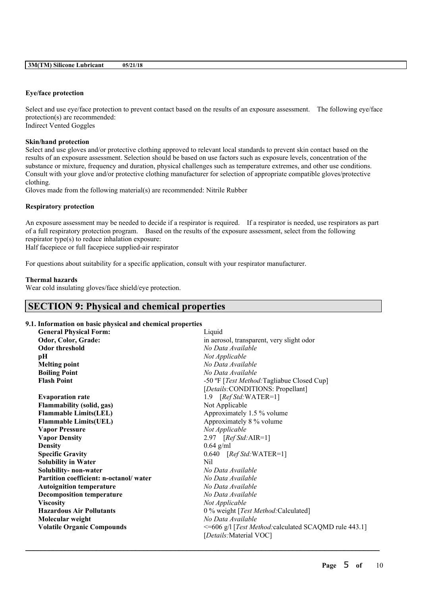#### **Eye/face protection**

Select and use eye/face protection to prevent contact based on the results of an exposure assessment. The following eye/face protection(s) are recommended: Indirect Vented Goggles

**Skin/hand protection**

Select and use gloves and/or protective clothing approved to relevant local standards to prevent skin contact based on the results of an exposure assessment. Selection should be based on use factors such as exposure levels, concentration of the substance or mixture, frequency and duration, physical challenges such as temperature extremes, and other use conditions. Consult with your glove and/or protective clothing manufacturer for selection of appropriate compatible gloves/protective clothing.

Gloves made from the following material(s) are recommended: Nitrile Rubber

#### **Respiratory protection**

An exposure assessment may be needed to decide if a respirator is required. If a respirator is needed, use respirators as part of a full respiratory protection program. Based on the results of the exposure assessment, select from the following respirator type(s) to reduce inhalation exposure:

Half facepiece or full facepiece supplied-air respirator

For questions about suitability for a specific application, consult with your respirator manufacturer.

#### **Thermal hazards**

Wear cold insulating gloves/face shield/eye protection.

# **SECTION 9: Physical and chemical properties**

# **9.1. Information on basic physical and chemical properties**

| <b>General Physical Form:</b>          | Liquid                                                |
|----------------------------------------|-------------------------------------------------------|
| Odor, Color, Grade:                    | in aerosol, transparent, very slight odor             |
| <b>Odor threshold</b>                  | No Data Available                                     |
| pН                                     | Not Applicable                                        |
| <b>Melting point</b>                   | No Data Available                                     |
| <b>Boiling Point</b>                   | No Data Available                                     |
| <b>Flash Point</b>                     | -50 °F [Test Method: Tagliabue Closed Cup]            |
|                                        | [Details: CONDITIONS: Propellant]                     |
| <b>Evaporation rate</b>                | 1.9 $[RefStd:WATER=1]$                                |
| <b>Flammability (solid, gas)</b>       | Not Applicable                                        |
| <b>Flammable Limits(LEL)</b>           | Approximately 1.5 % volume                            |
| <b>Flammable Limits(UEL)</b>           | Approximately 8 % volume                              |
| <b>Vapor Pressure</b>                  | Not Applicable                                        |
| <b>Vapor Density</b>                   | 2.97 $[RefStd:AIR=1]$                                 |
| <b>Density</b>                         | $0.64$ g/ml                                           |
| <b>Specific Gravity</b>                | $0.640$ [Ref Std:WATER=1]                             |
| <b>Solubility in Water</b>             | Nil                                                   |
| Solubility- non-water                  | No Data Available                                     |
| Partition coefficient: n-octanol/water | No Data Available                                     |
| <b>Autoignition temperature</b>        | No Data Available                                     |
| <b>Decomposition temperature</b>       | No Data Available                                     |
| <b>Viscosity</b>                       | Not Applicable                                        |
| <b>Hazardous Air Pollutants</b>        | 0 % weight [Test Method: Calculated]                  |
| Molecular weight                       | No Data Available                                     |
| <b>Volatile Organic Compounds</b>      | <=606 g/l [Test Method: calculated SCAQMD rule 443.1] |
|                                        | [Details: Material VOC]                               |
|                                        |                                                       |

 $\mathcal{L}_\mathcal{L} = \mathcal{L}_\mathcal{L} = \mathcal{L}_\mathcal{L} = \mathcal{L}_\mathcal{L} = \mathcal{L}_\mathcal{L} = \mathcal{L}_\mathcal{L} = \mathcal{L}_\mathcal{L} = \mathcal{L}_\mathcal{L} = \mathcal{L}_\mathcal{L} = \mathcal{L}_\mathcal{L} = \mathcal{L}_\mathcal{L} = \mathcal{L}_\mathcal{L} = \mathcal{L}_\mathcal{L} = \mathcal{L}_\mathcal{L} = \mathcal{L}_\mathcal{L} = \mathcal{L}_\mathcal{L} = \mathcal{L}_\mathcal{L}$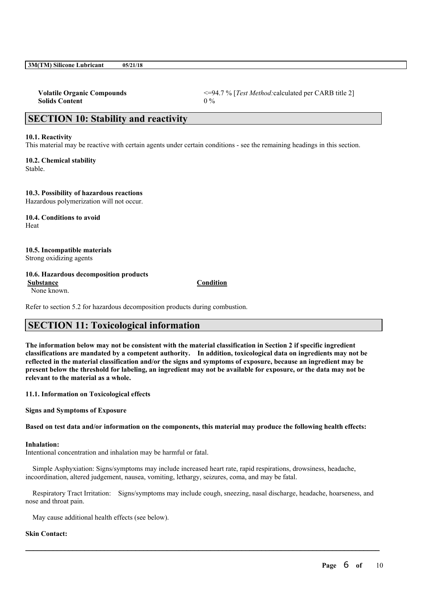|  | 3M(TM) Silicone Lubricant | 05/21/18 |
|--|---------------------------|----------|
|--|---------------------------|----------|

| <b>Volatile Organic Compounds</b> | $\leq$ =94.7 % [ <i>Test Method:</i> calculated per CARB title 2] |
|-----------------------------------|-------------------------------------------------------------------|
| <b>Solids Content</b>             | $0\%$                                                             |

# **SECTION 10: Stability and reactivity**

#### **10.1. Reactivity**

This material may be reactive with certain agents under certain conditions - see the remaining headings in this section.

**10.2. Chemical stability** Stable.

## **10.3. Possibility of hazardous reactions**

Hazardous polymerization will not occur.

**10.4. Conditions to avoid** Heat

# **10.5. Incompatible materials**

Strong oxidizing agents

# **10.6. Hazardous decomposition products**

None known.

Refer to section 5.2 for hazardous decomposition products during combustion.

# **SECTION 11: Toxicological information**

The information below may not be consistent with the material classification in Section 2 if specific ingredient **classifications are mandated by a competent authority. In addition, toxicological data on ingredients may not be** reflected in the material classification and/or the signs and symptoms of exposure, because an ingredient may be present below the threshold for labeling, an ingredient may not be available for exposure, or the data may not be **relevant to the material as a whole.**

**11.1. Information on Toxicological effects**

**Signs and Symptoms of Exposure**

Based on test data and/or information on the components, this material may produce the following health effects:

#### **Inhalation:**

Intentional concentration and inhalation may be harmful or fatal.

Simple Asphyxiation: Signs/symptoms may include increased heart rate, rapid respirations, drowsiness, headache, incoordination, altered judgement, nausea, vomiting, lethargy, seizures, coma, and may be fatal.

Respiratory Tract Irritation: Signs/symptoms may include cough, sneezing, nasal discharge, headache, hoarseness, and nose and throat pain.

 $\mathcal{L}_\mathcal{L} = \mathcal{L}_\mathcal{L} = \mathcal{L}_\mathcal{L} = \mathcal{L}_\mathcal{L} = \mathcal{L}_\mathcal{L} = \mathcal{L}_\mathcal{L} = \mathcal{L}_\mathcal{L} = \mathcal{L}_\mathcal{L} = \mathcal{L}_\mathcal{L} = \mathcal{L}_\mathcal{L} = \mathcal{L}_\mathcal{L} = \mathcal{L}_\mathcal{L} = \mathcal{L}_\mathcal{L} = \mathcal{L}_\mathcal{L} = \mathcal{L}_\mathcal{L} = \mathcal{L}_\mathcal{L} = \mathcal{L}_\mathcal{L}$ 

May cause additional health effects (see below).

## **Skin Contact:**

#### **Substance Condition**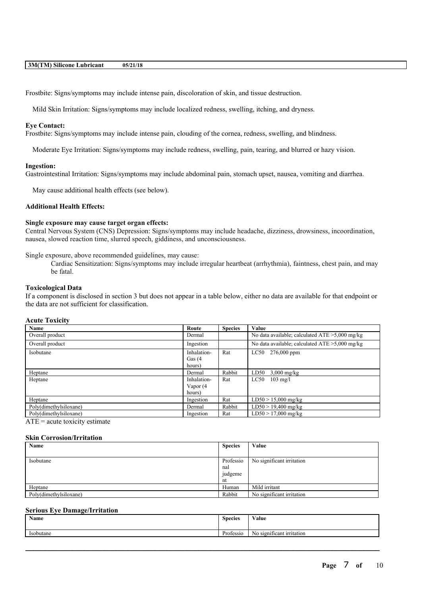Frostbite: Signs/symptoms may include intense pain, discoloration of skin, and tissue destruction.

Mild Skin Irritation: Signs/symptoms may include localized redness, swelling, itching, and dryness.

#### **Eye Contact:**

Frostbite: Signs/symptoms may include intense pain, clouding of the cornea, redness, swelling, and blindness.

Moderate Eye Irritation: Signs/symptoms may include redness, swelling, pain, tearing, and blurred or hazy vision.

#### **Ingestion:**

Gastrointestinal Irritation: Signs/symptoms may include abdominal pain, stomach upset, nausea, vomiting and diarrhea.

May cause additional health effects (see below).

## **Additional Health Effects:**

#### **Single exposure may cause target organ effects:**

Central Nervous System (CNS) Depression: Signs/symptoms may include headache, dizziness, drowsiness, incoordination, nausea, slowed reaction time, slurred speech, giddiness, and unconsciousness.

Single exposure, above recommended guidelines, may cause:

Cardiac Sensitization: Signs/symptoms may include irregular heartbeat (arrhythmia), faintness, chest pain, and may be fatal.

#### **Toxicological Data**

If a component is disclosed in section 3 but does not appear in a table below, either no data are available for that endpoint or the data are not sufficient for classification.

#### **Acute Toxicity**

| Name                   | Route                              | <b>Species</b> | Value                                             |
|------------------------|------------------------------------|----------------|---------------------------------------------------|
| Overall product        | Dermal                             |                | No data available; calculated $ATE > 5,000$ mg/kg |
| Overall product        | Ingestion                          |                | No data available; calculated $ATE > 5,000$ mg/kg |
| Isobutane              | Inhalation-<br>Gas $(4)$<br>hours) | Rat            | $276,000$ ppm<br>LC50                             |
| Heptane                | Dermal                             | Rabbit         | LD50<br>$3,000$ mg/kg                             |
| Heptane                | Inhalation-<br>Vapor (4<br>hours)  | Rat            | LC50<br>$103$ mg/l                                |
| Heptane                | Ingestion                          | Rat            | $LD50 > 15,000$ mg/kg                             |
| Poly(dimethylsiloxane) | Dermal                             | Rabbit         | $LD50 > 19,400$ mg/kg                             |
| Poly(dimethylsiloxane) | Ingestion                          | Rat            | $LD50 > 17,000$ mg/kg                             |

 $ATE = acute$  toxicity estimate

#### **Skin Corrosion/Irritation**

| Name                   | <b>Species</b> | Value                     |
|------------------------|----------------|---------------------------|
|                        |                |                           |
| Isobutane              | Professio      | No significant irritation |
|                        | nal            |                           |
|                        | judgeme        |                           |
|                        | nt             |                           |
| Heptane                | Human          | Mild irritant             |
| Poly(dimethylsiloxane) | Rabbit         | No significant irritation |

## **Serious Eye Damage/Irritation**

| Name             | <b>Species</b>                | Value                                |
|------------------|-------------------------------|--------------------------------------|
| <b>Isobutane</b> | $\mathbf{r}$<br>rofessio<br>. | - 22<br>significant irritation<br>NΟ |

 $\mathcal{L}_\mathcal{L} = \mathcal{L}_\mathcal{L} = \mathcal{L}_\mathcal{L} = \mathcal{L}_\mathcal{L} = \mathcal{L}_\mathcal{L} = \mathcal{L}_\mathcal{L} = \mathcal{L}_\mathcal{L} = \mathcal{L}_\mathcal{L} = \mathcal{L}_\mathcal{L} = \mathcal{L}_\mathcal{L} = \mathcal{L}_\mathcal{L} = \mathcal{L}_\mathcal{L} = \mathcal{L}_\mathcal{L} = \mathcal{L}_\mathcal{L} = \mathcal{L}_\mathcal{L} = \mathcal{L}_\mathcal{L} = \mathcal{L}_\mathcal{L}$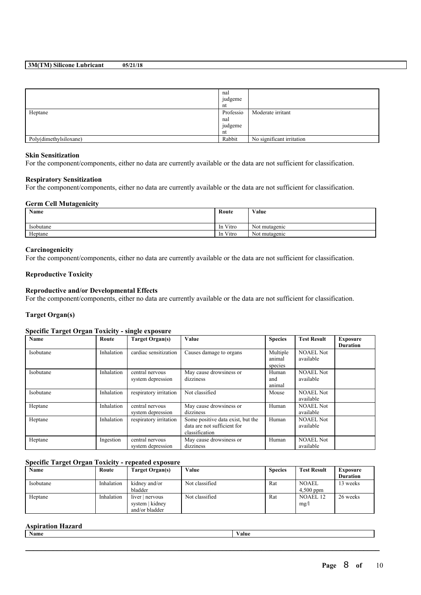|                        | nal<br>judgeme<br>nt |                           |
|------------------------|----------------------|---------------------------|
| Heptane                | Professio            | Moderate irritant         |
|                        | nal                  |                           |
|                        | judgeme              |                           |
|                        | nt                   |                           |
| Poly(dimethylsiloxane) | Rabbit               | No significant irritation |

#### **Skin Sensitization**

For the component/components, either no data are currently available or the data are not sufficient for classification.

#### **Respiratory Sensitization**

For the component/components, either no data are currently available or the data are not sufficient for classification.

#### **Germ Cell Mutagenicity**

| Name      | Route    | Value         |
|-----------|----------|---------------|
|           |          |               |
| Isobutane | In Vitro | Not mutagenic |
| Heptane   | In Vitro | Not mutagenic |

#### **Carcinogenicity**

For the component/components, either no data are currently available or the data are not sufficient for classification.

## **Reproductive Toxicity**

#### **Reproductive and/or Developmental Effects**

For the component/components, either no data are currently available or the data are not sufficient for classification.

# **Target Organ(s)**

#### **Specific Target Organ Toxicity - single exposure**

| Name      | Route      | <b>Target Organ(s)</b>               | Value                                                                              | <b>Species</b>                | <b>Test Result</b>            | <b>Exposure</b><br><b>Duration</b> |
|-----------|------------|--------------------------------------|------------------------------------------------------------------------------------|-------------------------------|-------------------------------|------------------------------------|
| Isobutane | Inhalation | cardiac sensitization                | Causes damage to organs                                                            | Multiple<br>animal<br>species | <b>NOAEL Not</b><br>available |                                    |
| Isobutane | Inhalation | central nervous<br>system depression | May cause drowsiness or<br>dizziness                                               | Human<br>and<br>animal        | <b>NOAEL Not</b><br>available |                                    |
| Isobutane | Inhalation | respiratory irritation               | Not classified                                                                     | Mouse                         | <b>NOAEL Not</b><br>available |                                    |
| Heptane   | Inhalation | central nervous<br>system depression | May cause drowsiness or<br>dizziness                                               | Human                         | <b>NOAEL Not</b><br>available |                                    |
| Heptane   | Inhalation | respiratory irritation               | Some positive data exist, but the<br>data are not sufficient for<br>classification | Human                         | <b>NOAEL Not</b><br>available |                                    |
| Heptane   | Ingestion  | central nervous<br>system depression | May cause drowsiness or<br>dizziness                                               | Human                         | <b>NOAEL Not</b><br>available |                                    |

# **Specific Target Organ Toxicity - repeated exposure**

| Name      | Route      | Target Organ(s) | Value          | <b>Species</b> | <b>Test Result</b> | <b>Exposure</b> |
|-----------|------------|-----------------|----------------|----------------|--------------------|-----------------|
|           |            |                 |                |                |                    | <b>Duration</b> |
| Isobutane | Inhalation | kidney and/or   | Not classified | Rat            | <b>NOAEL</b>       | 13 weeks        |
|           |            | bladder         |                |                | $4,500$ ppm        |                 |
| Heptane   | Inhalation | liver   nervous | Not classified | Rat            | NOAEL 12           | 26 weeks        |
|           |            | system   kidney |                |                | mg/l               |                 |
|           |            | and/or bladder  |                |                |                    |                 |

#### **Aspiration Hazard**

| Name | Value |
|------|-------|
|      |       |
|      |       |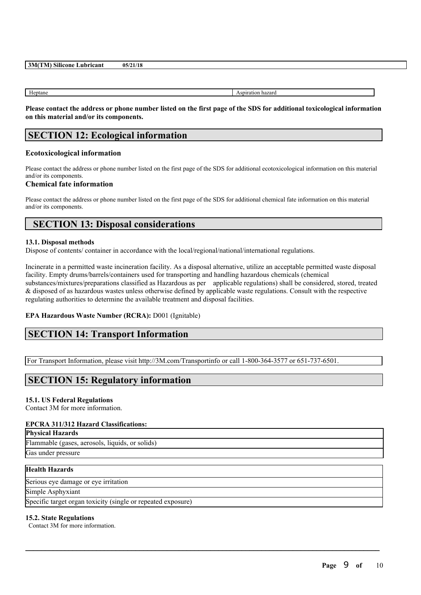Heptane Aspiration hazard

Please contact the address or phone number listed on the first page of the SDS for additional toxicological information **on this material and/or its components.**

# **SECTION 12: Ecological information**

## **Ecotoxicological information**

Please contact the address or phone number listed on the first page of the SDS for additional ecotoxicological information on this material and/or its components.

## **Chemical fate information**

Please contact the address or phone number listed on the first page of the SDS for additional chemical fate information on this material and/or its components.

# **SECTION 13: Disposal considerations**

#### **13.1. Disposal methods**

Dispose of contents/ container in accordance with the local/regional/national/international regulations.

Incinerate in a permitted waste incineration facility. As a disposal alternative, utilize an acceptable permitted waste disposal facility. Empty drums/barrels/containers used for transporting and handling hazardous chemicals (chemical substances/mixtures/preparations classified as Hazardous as per applicable regulations) shall be considered, stored, treated & disposed of as hazardous wastes unless otherwise defined by applicable waste regulations. Consult with the respective regulating authorities to determine the available treatment and disposal facilities.

 $\mathcal{L}_\mathcal{L} = \mathcal{L}_\mathcal{L} = \mathcal{L}_\mathcal{L} = \mathcal{L}_\mathcal{L} = \mathcal{L}_\mathcal{L} = \mathcal{L}_\mathcal{L} = \mathcal{L}_\mathcal{L} = \mathcal{L}_\mathcal{L} = \mathcal{L}_\mathcal{L} = \mathcal{L}_\mathcal{L} = \mathcal{L}_\mathcal{L} = \mathcal{L}_\mathcal{L} = \mathcal{L}_\mathcal{L} = \mathcal{L}_\mathcal{L} = \mathcal{L}_\mathcal{L} = \mathcal{L}_\mathcal{L} = \mathcal{L}_\mathcal{L}$ 

## **EPA Hazardous Waste Number (RCRA):** D001 (Ignitable)

# **SECTION 14: Transport Information**

For Transport Information, please visit http://3M.com/Transportinfo or call 1-800-364-3577 or 651-737-6501.

# **SECTION 15: Regulatory information**

## **15.1. US Federal Regulations**

Contact 3M for more information.

## **EPCRA 311/312 Hazard Classifications:**

# **Physical Hazards**

Flammable (gases, aerosols, liquids, or solids)

Gas under pressure

# **Health Hazards**

Serious eye damage or eye irritation

Simple Asphyxiant

Specific target organ toxicity (single or repeated exposure)

## **15.2. State Regulations**

Contact 3M for more information.